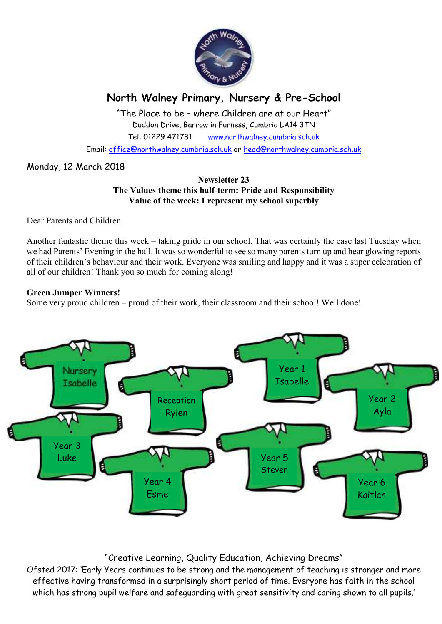

# **North Walney Primary, Nursery & Pre-School**

"The Place to be – where Children are at our Heart" Duddon Drive, Barrow in Furness, Cumbria LA14 3TN Tel: 01229 471781 www.northwalney.cumbria.sch.uk

Email: office@northwalney.cumbria.sch.uk or head@northwalney.cumbria.sch.uk

## Monday, 12 March 2018

#### **Newsletter 23 The Values theme this half-term: Pride and Responsibility Value of the week: I represent my school superbly**

Dear Parents and Children

Another fantastic theme this week – taking pride in our school. That was certainly the case last Tuesday when we had Parents' Evening in the hall. It was so wonderful to see so many parents turn up and hear glowing reports of their children's behaviour and their work. Everyone was smiling and happy and it was a super celebration of all of our children! Thank you so much for coming along!

### **Green Jumper Winners!**

Some very proud children – proud of their work, their classroom and their school! Well done!



## "Creative Learning, Quality Education, Achieving Dreams"

Ofsted 2017: 'Early Years continues to be strong and the management of teaching is stronger and more effective having transformed in a surprisingly short period of time. Everyone has faith in the school which has strong pupil welfare and safeguarding with great sensitivity and caring shown to all pupils.'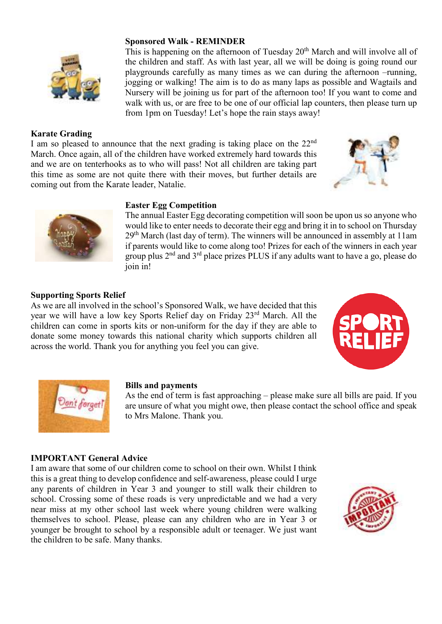

## **Karate Grading**

I am so pleased to announce that the next grading is taking place on the 22<sup>nd</sup> March. Once again, all of the children have worked extremely hard towards this and we are on tenterhooks as to who will pass! Not all children are taking part this time as some are not quite there with their moves, but further details are coming out from the Karate leader, Natalie.

#### **Easter Egg Competition**

The annual Easter Egg decorating competition will soon be upon us so anyone who would like to enter needs to decorate their egg and bring it in to school on Thursday  $29<sup>th</sup> March$  (last day of term). The winners will be announced in assembly at 11am if parents would like to come along too! Prizes for each of the winners in each year group plus 2<sup>nd</sup> and 3<sup>rd</sup> place prizes PLUS if any adults want to have a go, please do join in!

the children and staff. As with last year, all we will be doing is going round our playgrounds carefully as many times as we can during the afternoon –running, jogging or walking! The aim is to do as many laps as possible and Wagtails and Nursery will be joining us for part of the afternoon too! If you want to come and walk with us, or are free to be one of our official lap counters, then please turn up

#### **Supporting Sports Relief**

As we are all involved in the school's Sponsored Walk, we have decided that this year we will have a low key Sports Relief day on Friday 23rd March. All the children can come in sports kits or non-uniform for the day if they are able to donate some money towards this national charity which supports children all across the world. Thank you for anything you feel you can give.





#### **Bills and payments**

As the end of term is fast approaching – please make sure all bills are paid. If you are unsure of what you might owe, then please contact the school office and speak to Mrs Malone. Thank you.

#### **IMPORTANT General Advice**

I am aware that some of our children come to school on their own. Whilst I think this is a great thing to develop confidence and self-awareness, please could I urge any parents of children in Year 3 and younger to still walk their children to school. Crossing some of these roads is very unpredictable and we had a very near miss at my other school last week where young children were walking themselves to school. Please, please can any children who are in Year 3 or younger be brought to school by a responsible adult or teenager. We just want the children to be safe. Many thanks.





#### **Sponsored Walk - REMINDER**  This is happening on the afternoon of Tuesday  $20<sup>th</sup>$  March and will involve all of

from 1pm on Tuesday! Let's hope the rain stays away!

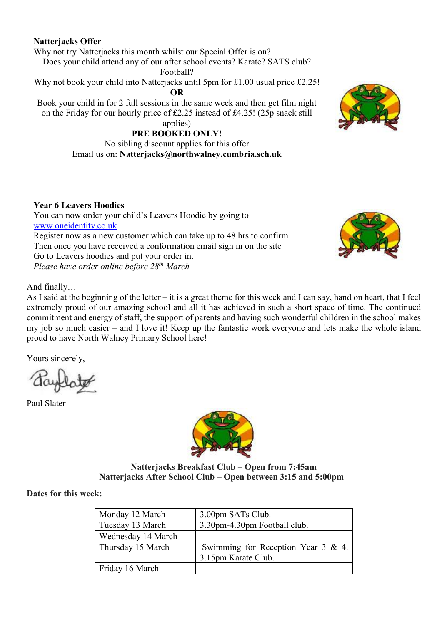## **Natterjacks Offer**

Why not try Natterjacks this month whilst our Special Offer is on?

Does your child attend any of our after school events? Karate? SATS club?

Football?

Why not book your child into Natterjacks until 5pm for £1.00 usual price £2.25!

**OR** 

Book your child in for 2 full sessions in the same week and then get film night on the Friday for our hourly price of £2.25 instead of £4.25! (25p snack still

## applies)

## **PRE BOOKED ONLY!**

No sibling discount applies for this offer Email us on: **Natterjacks@northwalney.cumbria.sch.uk** 



## **Year 6 Leavers Hoodies**

You can now order your child's Leavers Hoodie by going to www.oneidentity.co.uk Register now as a new customer which can take up to 48 hrs to confirm Then once you have received a conformation email sign in on the site Go to Leavers hoodies and put your order in.

*Please have order online before 28th March* 

And finally…

As I said at the beginning of the letter – it is a great theme for this week and I can say, hand on heart, that I feel extremely proud of our amazing school and all it has achieved in such a short space of time. The continued commitment and energy of staff, the support of parents and having such wonderful children in the school makes my job so much easier – and I love it! Keep up the fantastic work everyone and lets make the whole island proud to have North Walney Primary School here!

Yours sincerely,

Paul Slater



**Natterjacks Breakfast Club – Open from 7:45am Natterjacks After School Club – Open between 3:15 and 5:00pm** 

## **Dates for this week:**

| Monday 12 March    | 3.00pm SATs Club.                                         |
|--------------------|-----------------------------------------------------------|
| Tuesday 13 March   | 3.30pm-4.30pm Football club.                              |
| Wednesday 14 March |                                                           |
| Thursday 15 March  | Swimming for Reception Year 3 & 4.<br>3.15pm Karate Club. |
| Friday 16 March    |                                                           |